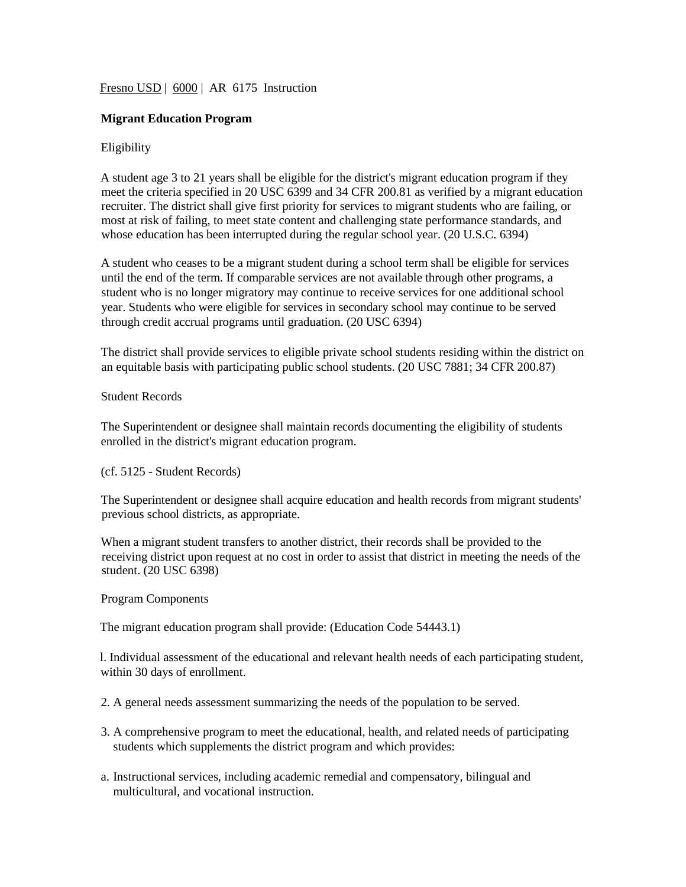# Fresno USD | 6000 | AR 6175 Instruction

# **Migrant Education Program**

## Eligibility

A student age 3 to 21 years shall be eligible for the district's migrant education program if they meet the criteria specified in 20 USC 6399 and 34 CFR 200.81 as verified by a migrant education recruiter. The district shall give first priority for services to migrant students who are failing, or most at risk of failing, to meet state content and challenging state performance standards, and whose education has been interrupted during the regular school year. (20 U.S.C. 6394)

A student who ceases to be a migrant student during a school term shall be eligible for services until the end of the term. If comparable services are not available through other programs, a student who is no longer migratory may continue to receive services for one additional school year. Students who were eligible for services in secondary school may continue to be served through credit accrual programs until graduation. (20 USC 6394)

The district shall provide services to eligible private school students residing within the district on an equitable basis with participating public school students. (20 USC 7881; 34 CFR 200.87)

### Student Records

The Superintendent or designee shall maintain records documenting the eligibility of students enrolled in the district's migrant education program.

### (cf. 5125 - Student Records)

The Superintendent or designee shall acquire education and health records from migrant students' previous school districts, as appropriate.

When a migrant student transfers to another district, their records shall be provided to the receiving district upon request at no cost in order to assist that district in meeting the needs of the student. (20 USC 6398)

### Program Components

The migrant education program shall provide: (Education Code 54443.1)

l. Individual assessment of the educational and relevant health needs of each participating student, within 30 days of enrollment.

- 2. A general needs assessment summarizing the needs of the population to be served.
- 3. A comprehensive program to meet the educational, health, and related needs of participating students which supplements the district program and which provides:
- a. Instructional services, including academic remedial and compensatory, bilingual and multicultural, and vocational instruction.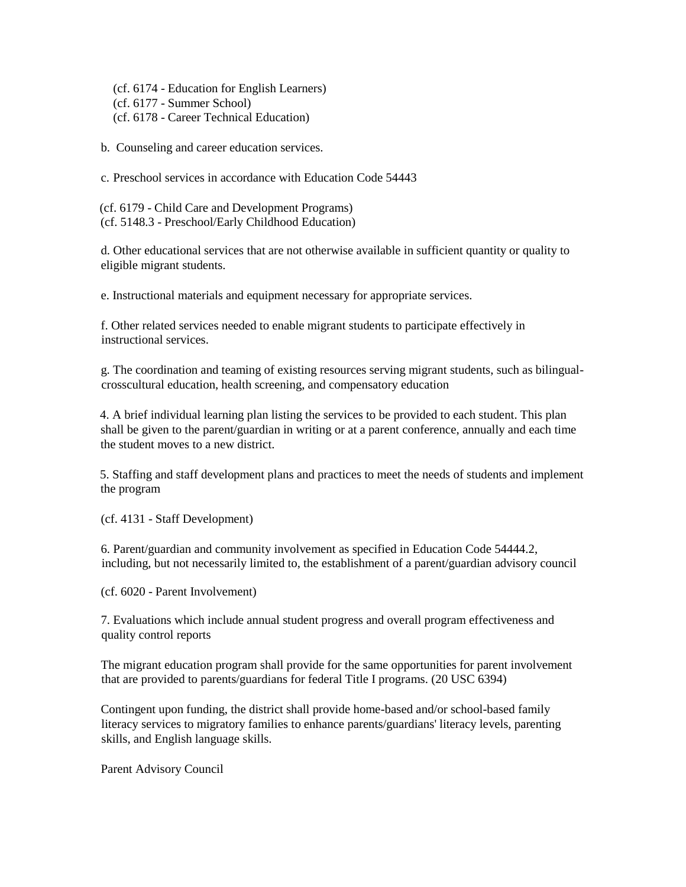(cf. 6174 - Education for English Learners) (cf. 6177 - Summer School) (cf. 6178 - Career Technical Education)

b. Counseling and career education services.

c. Preschool services in accordance with Education Code 54443

(cf. 6179 - Child Care and Development Programs) (cf. 5148.3 - Preschool/Early Childhood Education)

d. Other educational services that are not otherwise available in sufficient quantity or quality to eligible migrant students.

e. Instructional materials and equipment necessary for appropriate services.

f. Other related services needed to enable migrant students to participate effectively in instructional services.

g. The coordination and teaming of existing resources serving migrant students, such as bilingualcrosscultural education, health screening, and compensatory education

4. A brief individual learning plan listing the services to be provided to each student. This plan shall be given to the parent/guardian in writing or at a parent conference, annually and each time the student moves to a new district.

5. Staffing and staff development plans and practices to meet the needs of students and implement the program

(cf. 4131 - Staff Development)

6. Parent/guardian and community involvement as specified in Education Code 54444.2, including, but not necessarily limited to, the establishment of a parent/guardian advisory council

(cf. 6020 - Parent Involvement)

7. Evaluations which include annual student progress and overall program effectiveness and quality control reports

The migrant education program shall provide for the same opportunities for parent involvement that are provided to parents/guardians for federal Title I programs. (20 USC 6394)

Contingent upon funding, the district shall provide home-based and/or school-based family literacy services to migratory families to enhance parents/guardians' literacy levels, parenting skills, and English language skills.

Parent Advisory Council